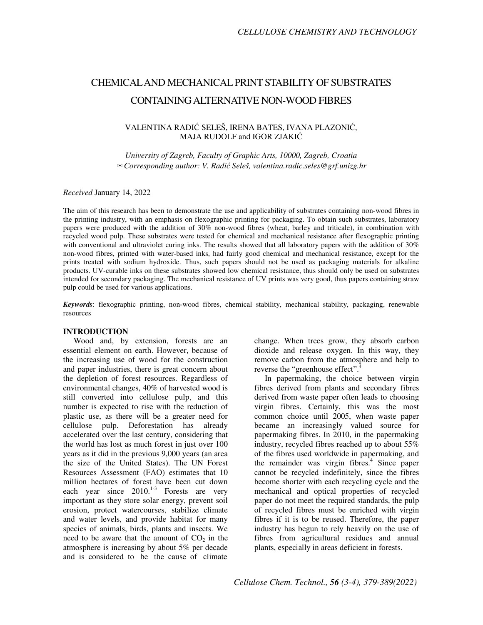# CHEMICAL AND MECHANICAL PRINT STABILITY OF SUBSTRATES CONTAINING ALTERNATIVE NON-WOOD FIBRES

# VALENTINA RADIĆ SELEŠ, IRENA BATES, IVANA PLAZONIĆ, MAJA RUDOLF and IGOR ZJAKIĆ

*University of Zagreb, Faculty of Graphic Arts, 10000, Zagreb, Croatia*  ✉*Corresponding author: V. Radi*ć *Seleš, valentina.radic.seles@grf.unizg.hr* 

#### *Received* January 14, 2022

The aim of this research has been to demonstrate the use and applicability of substrates containing non-wood fibres in the printing industry, with an emphasis on flexographic printing for packaging. To obtain such substrates, laboratory papers were produced with the addition of 30% non-wood fibres (wheat, barley and triticale), in combination with recycled wood pulp. These substrates were tested for chemical and mechanical resistance after flexographic printing with conventional and ultraviolet curing inks. The results showed that all laboratory papers with the addition of 30% non-wood fibres, printed with water-based inks, had fairly good chemical and mechanical resistance, except for the prints treated with sodium hydroxide. Thus, such papers should not be used as packaging materials for alkaline products. UV-curable inks on these substrates showed low chemical resistance, thus should only be used on substrates intended for secondary packaging. The mechanical resistance of UV prints was very good, thus papers containing straw pulp could be used for various applications.

*Keywords*: flexographic printing, non-wood fibres, chemical stability, mechanical stability, packaging, renewable resources

## **INTRODUCTION**

Wood and, by extension, forests are an essential element on earth. However, because of the increasing use of wood for the construction and paper industries, there is great concern about the depletion of forest resources. Regardless of environmental changes, 40% of harvested wood is still converted into cellulose pulp, and this number is expected to rise with the reduction of plastic use, as there will be a greater need for cellulose pulp. Deforestation has already accelerated over the last century, considering that the world has lost as much forest in just over 100 years as it did in the previous 9,000 years (an area the size of the United States). The UN Forest Resources Assessment (FAO) estimates that 10 million hectares of forest have been cut down each year since  $2010^{1-3}$  Forests are very important as they store solar energy, prevent soil erosion, protect watercourses, stabilize climate and water levels, and provide habitat for many species of animals, birds, plants and insects. We need to be aware that the amount of  $CO<sub>2</sub>$  in the atmosphere is increasing by about 5% per decade and is considered to be the cause of climate

change. When trees grow, they absorb carbon dioxide and release oxygen. In this way, they remove carbon from the atmosphere and help to reverse the "greenhouse effect".<sup>4</sup>

In papermaking, the choice between virgin fibres derived from plants and secondary fibres derived from waste paper often leads to choosing virgin fibres. Certainly, this was the most common choice until 2005, when waste paper became an increasingly valued source for papermaking fibres. In 2010, in the papermaking industry, recycled fibres reached up to about 55% of the fibres used worldwide in papermaking, and the remainder was virgin fibres.<sup>4</sup> Since paper cannot be recycled indefinitely, since the fibres become shorter with each recycling cycle and the mechanical and optical properties of recycled paper do not meet the required standards, the pulp of recycled fibres must be enriched with virgin fibres if it is to be reused. Therefore, the paper industry has begun to rely heavily on the use of fibres from agricultural residues and annual plants, especially in areas deficient in forests.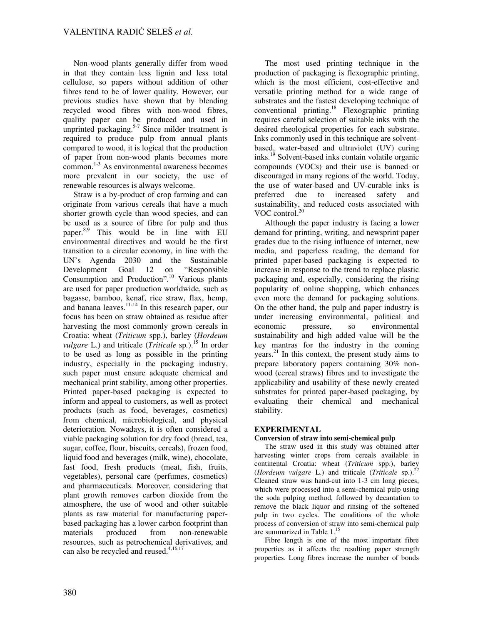Non-wood plants generally differ from wood in that they contain less lignin and less total cellulose, so papers without addition of other fibres tend to be of lower quality. However, our previous studies have shown that by blending recycled wood fibres with non-wood fibres, quality paper can be produced and used in unprinted packaging.<sup>5-7</sup> Since milder treatment is required to produce pulp from annual plants compared to wood, it is logical that the production of paper from non-wood plants becomes more common. 1-3 As environmental awareness becomes more prevalent in our society, the use of renewable resources is always welcome.

Straw is a by-product of crop farming and can originate from various cereals that have a much shorter growth cycle than wood species, and can be used as a source of fibre for pulp and thus paper. 8,9 This would be in line with EU environmental directives and would be the first transition to a circular economy, in line with the UN's Agenda 2030 and the Sustainable<br>Development Goal 12 on "Responsible Development Goal 12 on Consumption and Production".<sup>10</sup> Various plants are used for paper production worldwide, such as bagasse, bamboo, kenaf, rice straw, flax, hemp, and banana leaves. $11-14}$  In this research paper, our focus has been on straw obtained as residue after harvesting the most commonly grown cereals in Croatia: wheat (*Triticum* spp.), barley (*Hordeum vulgare* L.) and triticale (*Triticale* sp.).<sup>15</sup> In order to be used as long as possible in the printing industry, especially in the packaging industry, such paper must ensure adequate chemical and mechanical print stability, among other properties. Printed paper-based packaging is expected to inform and appeal to customers, as well as protect products (such as food, beverages, cosmetics) from chemical, microbiological, and physical deterioration. Nowadays, it is often considered a viable packaging solution for dry food (bread, tea, sugar, coffee, flour, biscuits, cereals), frozen food, liquid food and beverages (milk, wine), chocolate, fast food, fresh products (meat, fish, fruits, vegetables), personal care (perfumes, cosmetics) and pharmaceuticals. Moreover, considering that plant growth removes carbon dioxide from the atmosphere, the use of wood and other suitable plants as raw material for manufacturing paperbased packaging has a lower carbon footprint than materials produced from non-renewable resources, such as petrochemical derivatives, and can also be recycled and reused.<sup>4,16,17</sup>

The most used printing technique in the production of packaging is flexographic printing, which is the most efficient, cost-effective and versatile printing method for a wide range of substrates and the fastest developing technique of conventional printing.<sup>18</sup> Flexographic printing requires careful selection of suitable inks with the desired rheological properties for each substrate. Inks commonly used in this technique are solventbased, water-based and ultraviolet (UV) curing inks.<sup>19</sup> Solvent-based inks contain volatile organic compounds (VOCs) and their use is banned or discouraged in many regions of the world. Today, the use of water-based and UV-curable inks is preferred due to increased safety and sustainability, and reduced costs associated with VOC control. $20$ 

Although the paper industry is facing a lower demand for printing, writing, and newsprint paper grades due to the rising influence of internet, new media, and paperless reading, the demand for printed paper-based packaging is expected to increase in response to the trend to replace plastic packaging and, especially, considering the rising popularity of online shopping, which enhances even more the demand for packaging solutions. On the other hand, the pulp and paper industry is under increasing environmental, political and economic pressure, so environmental sustainability and high added value will be the key mantras for the industry in the coming years.<sup>21</sup> In this context, the present study aims to prepare laboratory papers containing 30% nonwood (cereal straws) fibres and to investigate the applicability and usability of these newly created substrates for printed paper-based packaging, by evaluating their chemical and mechanical stability.

# **EXPERIMENTAL**

## **Conversion of straw into semi-chemical pulp**

The straw used in this study was obtained after harvesting winter crops from cereals available in continental Croatia: wheat (*Triticum* spp.), barley (*Hordeum vulgare L.*) and triticale (*Triticale* sp.).<sup>2</sup> Cleaned straw was hand-cut into 1-3 cm long pieces, which were processed into a semi-chemical pulp using the soda pulping method, followed by decantation to remove the black liquor and rinsing of the softened pulp in two cycles. The conditions of the whole process of conversion of straw into semi-chemical pulp are summarized in Table  $1<sup>15</sup>$ 

Fibre length is one of the most important fibre properties as it affects the resulting paper strength properties. Long fibres increase the number of bonds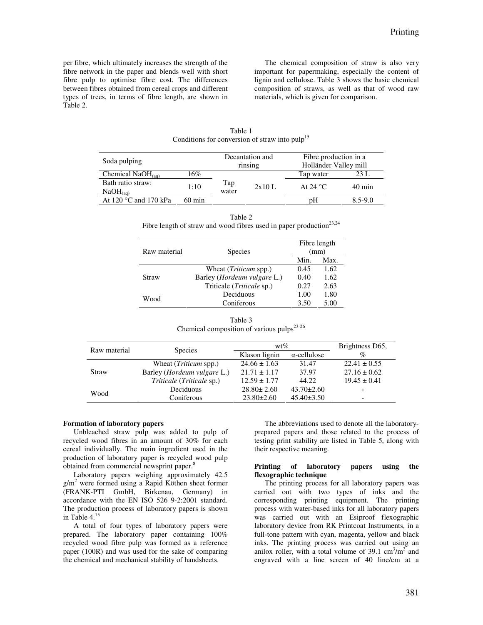per fibre, which ultimately increases the strength of the fibre network in the paper and blends well with short fibre pulp to optimise fibre cost. The differences between fibres obtained from cereal crops and different types of trees, in terms of fibre length, are shown in Table 2.

The chemical composition of straw is also very important for papermaking, especially the content of lignin and cellulose. Table 3 shows the basic chemical composition of straws, as well as that of wood raw materials, which is given for comparison.

|                                                          |                  |              | conditions for conversion of strum mile purp- |                       |                  |  |
|----------------------------------------------------------|------------------|--------------|-----------------------------------------------|-----------------------|------------------|--|
| Soda pulping                                             |                  |              | Decantation and                               | Fibre production in a |                  |  |
|                                                          |                  |              | rinsing                                       | Holländer Valley mill |                  |  |
| Chemical $NaOH$ <sub>(aq)</sub>                          | 16%              |              |                                               | Tap water             | 23 L             |  |
| Bath ratio straw:                                        | 1:10             | Tap<br>water | 2x10L                                         | At 24 $^{\circ}$ C    | $40 \text{ min}$ |  |
| $NaOH$ <sub>(aq)</sub><br>At 120 $\degree$ C and 170 kPa |                  |              |                                               |                       |                  |  |
|                                                          | $60 \text{ min}$ |              |                                               | pΗ                    | $8.5 - 9.0$      |  |

| Table 1                                                    |  |
|------------------------------------------------------------|--|
| Conditions for conversion of straw into pulp <sup>15</sup> |  |

|                                                                                 | Table 2 |  |
|---------------------------------------------------------------------------------|---------|--|
| Fibre length of straw and wood fibres used in paper production <sup>23,24</sup> |         |  |

| Raw material | <b>Species</b>               | Fibre length<br>(mm) |      |  |  |
|--------------|------------------------------|----------------------|------|--|--|
|              |                              | Min.                 | Max. |  |  |
|              | Wheat <i>(Triticum spp.)</i> | 0.45                 | 1.62 |  |  |
| Straw        | Barley (Hordeum vulgare L.)  | 0.40                 | 1.62 |  |  |
|              | Triticale (Triticale sp.)    | 0.27                 | 2.63 |  |  |
| Wood         | Deciduous                    | 1.00                 | 1.80 |  |  |
|              | Coniferous                   | 3.50                 | 5.00 |  |  |

Table 3 Chemical composition of various pulps $^{23-26}$ 

| Raw material | <b>Species</b>                       | $wt\%$           | Brightness D65,     |                  |
|--------------|--------------------------------------|------------------|---------------------|------------------|
|              |                                      | Klason lignin    | $\alpha$ -cellulose | $\%$             |
|              | Wheat <i>(Triticum spp.)</i>         | $24.66 \pm 1.63$ | 31.47               | $22.41 \pm 0.55$ |
| Straw        | Barley ( <i>Hordeum vulgare L.</i> ) | $21.71 \pm 1.17$ | 37.97               | $27.16 \pm 0.62$ |
|              | <i>Triticale (Triticale sp.)</i>     | $12.59 \pm 1.77$ | 44.22               | $19.45 \pm 0.41$ |
|              | Deciduous                            | $28.80 \pm 2.60$ | $43.70 \pm 2.60$    | ٠                |
| Wood         | Coniferous                           | $23.80 \pm 2.60$ | $45.40 \pm 3.50$    | ٠                |

## **Formation of laboratory papers**

Unbleached straw pulp was added to pulp of recycled wood fibres in an amount of 30% for each cereal individually. The main ingredient used in the production of laboratory paper is recycled wood pulp obtained from commercial newsprint paper.<sup>8</sup>

Laboratory papers weighing approximately 42.5 g/m<sup>2</sup> were formed using a Rapid Köthen sheet former (FRANK-PTI GmbH, Birkenau, Germany) in accordance with the EN ISO 526 9-2:2001 standard. The production process of laboratory papers is shown in Table  $4<sup>1</sup>$ 

A total of four types of laboratory papers were prepared. The laboratory paper containing 100% recycled wood fibre pulp was formed as a reference paper (100R) and was used for the sake of comparing the chemical and mechanical stability of handsheets.

The abbreviations used to denote all the laboratoryprepared papers and those related to the process of testing print stability are listed in Table 5, along with their respective meaning.

#### **Printing of laboratory papers using the flexographic technique**

The printing process for all laboratory papers was carried out with two types of inks and the corresponding printing equipment. The printing process with water-based inks for all laboratory papers was carried out with an Esiproof flexographic laboratory device from RK Printcoat Instruments, in a full-tone pattern with cyan, magenta, yellow and black inks. The printing process was carried out using an anilox roller, with a total volume of  $39.1 \text{ cm}^3/\text{m}^2$  and engraved with a line screen of 40 line/cm at a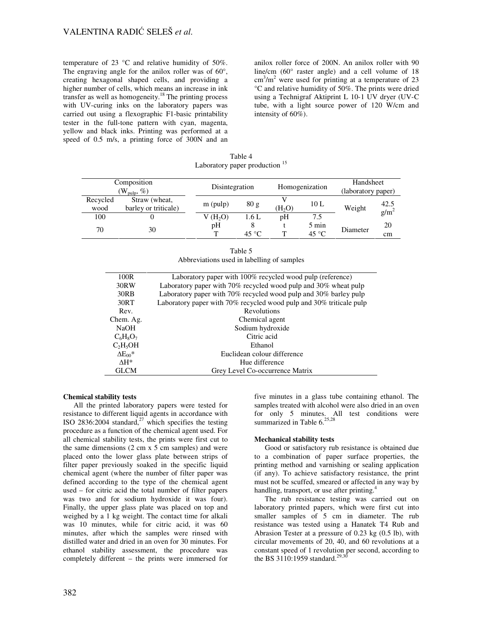temperature of 23 °C and relative humidity of 50%. The engraving angle for the anilox roller was of  $60^\circ$ , creating hexagonal shaped cells, and providing a higher number of cells, which means an increase in ink transfer as well as homogeneity.<sup>18</sup> The printing process with UV-curing inks on the laboratory papers was carried out using a flexographic F1-basic printability tester in the full-tone pattern with cyan, magenta, yellow and black inks. Printing was performed at a speed of 0.5 m/s, a printing force of 300N and an anilox roller force of 200N. An anilox roller with 90 line/cm (60° raster angle) and a cell volume of 18  $\text{cm}^3/\text{m}^2$  were used for printing at a temperature of 23 °C and relative humidity of 50%. The prints were dried using a Technigraf Aktiprint L 10-1 UV dryer (UV-C tube, with a light source power of 120 W/cm and intensity of 60%).

Table 4 Laboratory paper production<sup>15</sup>

| Composition<br>$(\mathrm{W_{\mathrm{pulp}}}, \%)$ |                                       | Disintegration |                 |                    | Homogenization  | Handsheet<br>(laboratory paper) |                 |
|---------------------------------------------------|---------------------------------------|----------------|-----------------|--------------------|-----------------|---------------------------------|-----------------|
| Recycled<br>wood                                  | Straw (wheat,<br>barley or triticale) | $m$ (pulp)     | 80 <sub>g</sub> | (H <sub>2</sub> O) | 10L             | Weight                          | 42.5<br>$g/m^2$ |
| 100                                               |                                       | $V(H_2O)$      | 1.6 L           | pH                 | 7.5             |                                 |                 |
|                                                   |                                       | pH             | 8               |                    | $5 \text{ min}$ |                                 | 20              |
| 70                                                | 30                                    | $\mathbf{T}$   | $45^{\circ}$ C  | т                  | $45^{\circ}$ C  | Diameter                        | cm              |

|                                            | Table 5 |  |
|--------------------------------------------|---------|--|
| Abbreviations used in labelling of samples |         |  |

| 100R                     | Laboratory paper with 100% recycled wood pulp (reference)           |
|--------------------------|---------------------------------------------------------------------|
| 30RW                     | Laboratory paper with 70% recycled wood pulp and 30% wheat pulp     |
| 30RB                     | Laboratory paper with 70% recycled wood pulp and 30% barley pulp    |
| 30RT                     | Laboratory paper with 70% recycled wood pulp and 30% triticale pulp |
| Rev.                     | Revolutions                                                         |
| Chem. Ag.                | Chemical agent                                                      |
| <b>NaOH</b>              | Sodium hydroxide                                                    |
| $C_6H_8O_7$              | Citric acid                                                         |
| $C_2H_5OH$               | Ethanol                                                             |
| $\Delta E_{00}$ *        | Euclidean colour difference                                         |
| $\Lambda$ H <sup>*</sup> | Hue difference                                                      |
| <b>GLCM</b>              | Grey Level Co-occurrence Matrix                                     |
|                          |                                                                     |

## **Chemical stability tests**

All the printed laboratory papers were tested for resistance to different liquid agents in accordance with ISO 2836:2004 standard, $27$  which specifies the testing procedure as a function of the chemical agent used. For all chemical stability tests, the prints were first cut to the same dimensions  $(2 \text{ cm } x 5 \text{ cm } \text{samples})$  and were placed onto the lower glass plate between strips of filter paper previously soaked in the specific liquid chemical agent (where the number of filter paper was defined according to the type of the chemical agent used – for citric acid the total number of filter papers was two and for sodium hydroxide it was four). Finally, the upper glass plate was placed on top and weighed by a 1 kg weight. The contact time for alkali was 10 minutes, while for citric acid, it was 60 minutes, after which the samples were rinsed with distilled water and dried in an oven for 30 minutes. For ethanol stability assessment, the procedure was completely different – the prints were immersed for

five minutes in a glass tube containing ethanol. The samples treated with alcohol were also dried in an oven for only 5 minutes. All test conditions were summarized in Table  $6.25,28$ 

#### **Mechanical stability tests**

Good or satisfactory rub resistance is obtained due to a combination of paper surface properties, the printing method and varnishing or sealing application (if any). To achieve satisfactory resistance, the print must not be scuffed, smeared or affected in any way by handling, transport, or use after printing.<sup>4</sup>

The rub resistance testing was carried out on laboratory printed papers, which were first cut into smaller samples of 5 cm in diameter. The rub resistance was tested using a Hanatek T4 Rub and Abrasion Tester at a pressure of 0.23 kg (0.5 lb), with circular movements of 20, 40, and 60 revolutions at a constant speed of 1 revolution per second, according to the BS 3110:1959 standard.<sup>29,30</sup>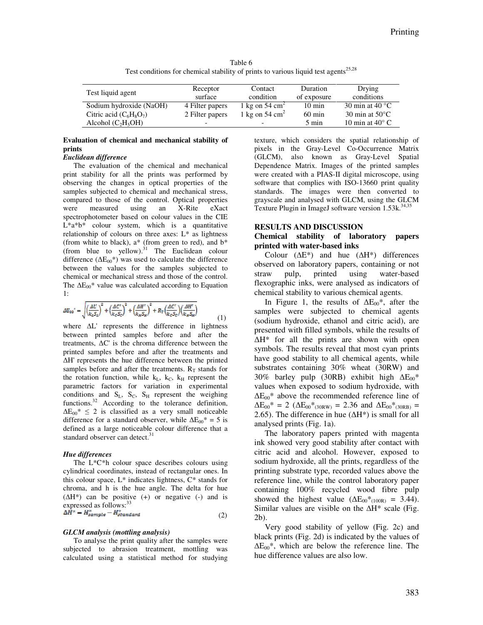Table 6 Test conditions for chemical stability of prints to various liquid test agents<sup>25,28</sup>

| Test liquid agent         | Receptor<br>surface | Contact<br>condition       | Duration<br>of exposure | Drying<br>conditions      |
|---------------------------|---------------------|----------------------------|-------------------------|---------------------------|
| Sodium hydroxide (NaOH)   | 4 Filter papers     | 1 kg on 54 cm <sup>2</sup> | $10 \text{ min}$        | 30 min at 40 $^{\circ}$ C |
| Citric acid $(C_6H_8O_7)$ | 2 Filter papers     | 1 kg on 54 $\text{cm}^2$   | $60 \text{ min}$        | 30 min at $50^{\circ}$ C  |
| Alcohol $(C_2H_5OH)$      | -                   |                            | 5 min                   | 10 min at $40^{\circ}$ C  |

**Evaluation of chemical and mechanical stability of prints** 

#### *Euclidean difference*

The evaluation of the chemical and mechanical print stability for all the prints was performed by observing the changes in optical properties of the samples subjected to chemical and mechanical stress, compared to those of the control. Optical properties were measured using an X-Rite eXact spectrophotometer based on colour values in the CIE L\*a\*b\* colour system, which is a quantitative relationship of colours on three axes: L\* as lightness (from white to black),  $a^*$  (from green to red), and  $b^*$ (from blue to yellow). $31$  The Euclidean colour difference ( $\Delta E_{00}^*$ ) was used to calculate the difference between the values for the samples subjected to chemical or mechanical stress and those of the control. The  $\Delta E_{00}^*$  value was calculated according to Equation 1:

$$
\Delta E_{00}^{\prime\prime}=\sqrt{\left(\frac{\Delta L^\prime}{k_L S_L}\right)^2+\left(\frac{\Delta C^\prime}{k_C S_C}\right)^2+\left(\frac{\Delta H^\prime}{k_R S_H}\right)^2+R_T\left(\frac{\Delta C^\prime}{k_C S_C}\right)\left(\frac{\Delta H^\prime}{k_R S_H}\right)}\eqno(1)
$$

where ∆L' represents the difference in lightness between printed samples before and after the treatments, ∆C' is the chroma difference between the printed samples before and after the treatments and ∆H' represents the hue difference between the printed samples before and after the treatments.  $R_T$  stands for the rotation function, while  $k<sub>L</sub>$ ,  $k<sub>C</sub>$ ,  $k<sub>H</sub>$  represent the parametric factors for variation in experimental conditions and  $S_L$ ,  $S_C$ ,  $S_H$  represent the weighing functions.<sup>32</sup> According to the tolerance definition,  $\Delta E_{00}$ <sup>\*</sup> ≤ 2 is classified as a very small noticeable difference for a standard observer, while  $\Delta E_{00}^* = 5$  is defined as a large noticeable colour difference that a standard observer can detect.<sup>31</sup>

### *Hue differences*

The L\*C\*h colour space describes colours using cylindrical coordinates, instead of rectangular ones. In this colour space,  $L^*$  indicates lightness,  $C^*$  stands for chroma, and h is the hue angle. The delta for hue  $(\Delta H^*)$  can be positive (+) or negative (-) and is expressed as follows:<sup>33</sup><br> $\Delta H^* = H_{\text{sample}}^* - H_{\text{standard}}^*$ (2)

### *GLCM analysis (mottling analysis)*

To analyse the print quality after the samples were subjected to abrasion treatment, mottling was calculated using a statistical method for studying texture, which considers the spatial relationship of pixels in the Gray-Level Co-Occurrence Matrix (GLCM), also known as Gray-Level Spatial Dependence Matrix. Images of the printed samples were created with a PIAS-II digital microscope, using software that complies with ISO-13660 print quality standards. The images were then converted to grayscale and analysed with GLCM, using the GLCM Texture Plugin in ImageJ software version 1.53k.<sup>34,3</sup>

#### **RESULTS AND DISCUSSION**

## **Chemical stability of laboratory papers printed with water-based inks**

Colour  $(\Delta E^*)$  and hue  $(\Delta H^*)$  differences observed on laboratory papers, containing or not straw pulp, printed using water-based flexographic inks, were analysed as indicators of chemical stability to various chemical agents.

In Figure 1, the results of  $\Delta E_{00}^*$ , after the samples were subjected to chemical agents (sodium hydroxide, ethanol and citric acid), are presented with filled symbols, while the results of ∆H\* for all the prints are shown with open symbols. The results reveal that most cyan prints have good stability to all chemical agents, while substrates containing 30% wheat (30RW) and 30% barley pulp (30RB) exhibit high  $\Delta E_{00}$ \* values when exposed to sodium hydroxide, with  $\Delta E_{00}^*$  above the recommended reference line of  $\Delta E_{00}$ <sup>\*</sup> = 2 ( $\Delta E_{00}$ <sup>\*</sup><sub>(30RW)</sub> = 2.36 and  $\Delta E_{00}$ <sup>\*</sup><sub>(30RB)</sub> = 2.65). The difference in hue ( $\Delta H^*$ ) is small for all analysed prints (Fig. 1a).

The laboratory papers printed with magenta ink showed very good stability after contact with citric acid and alcohol. However, exposed to sodium hydroxide, all the prints, regardless of the printing substrate type, recorded values above the reference line, while the control laboratory paper containing 100% recycled wood fibre pulp showed the highest value ( $\Delta E_{00}^*$ <sub>(100R)</sub> = 3.44). Similar values are visible on the ∆H\* scale (Fig. 2b).

Very good stability of yellow (Fig. 2c) and black prints (Fig. 2d) is indicated by the values of  $\Delta E_{00}$ <sup>\*</sup>, which are below the reference line. The hue difference values are also low.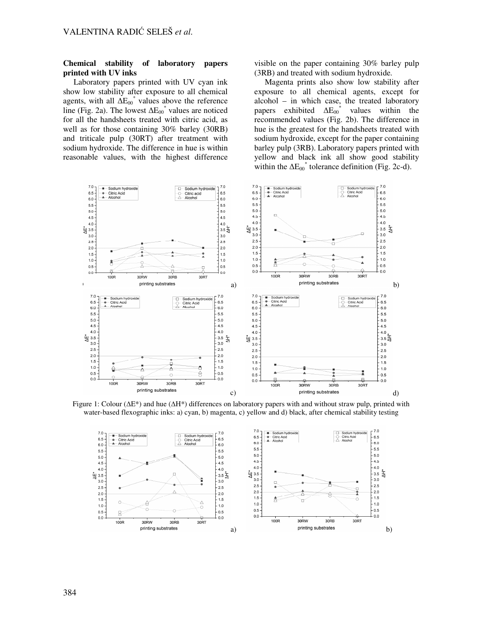## **Chemical stability of laboratory papers printed with UV inks**

Laboratory papers printed with UV cyan ink show low stability after exposure to all chemical agents, with all  $\Delta E_{00}^*$  values above the reference line (Fig. 2a). The lowest  $\Delta E_{00}^*$  values are noticed for all the handsheets treated with citric acid, as well as for those containing 30% barley (30RB) and triticale pulp (30RT) after treatment with sodium hydroxide. The difference in hue is within reasonable values, with the highest difference

visible on the paper containing 30% barley pulp (3RB) and treated with sodium hydroxide.

Magenta prints also show low stability after exposure to all chemical agents, except for alcohol – in which case, the treated laboratory papers exhibited  $\Delta E_{00}^*$  values within the recommended values (Fig. 2b). The difference in hue is the greatest for the handsheets treated with sodium hydroxide, except for the paper containing barley pulp (3RB). Laboratory papers printed with yellow and black ink all show good stability within the  $\Delta E_{00}^*$  tolerance definition (Fig. 2c-d).



Figure 1: Colour (∆E\*) and hue (∆H\*) differences on laboratory papers with and without straw pulp, printed with water-based flexographic inks: a) cyan, b) magenta, c) yellow and d) black, after chemical stability testing

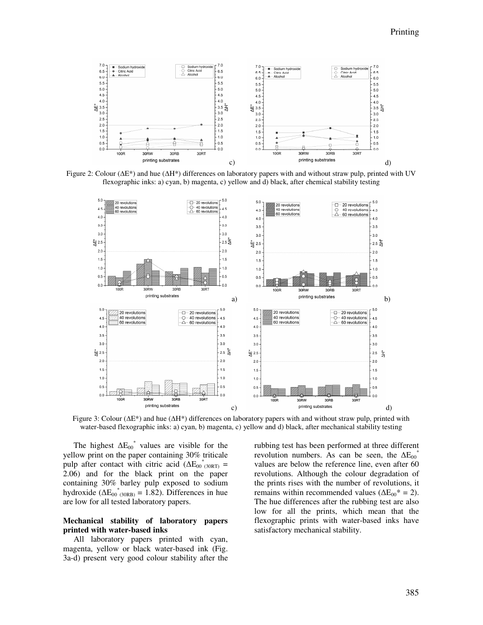





Figure 3: Colour (∆E\*) and hue (∆H\*) differences on laboratory papers with and without straw pulp, printed with water-based flexographic inks: a) cyan, b) magenta, c) yellow and d) black, after mechanical stability testing

The highest  $\Delta E_{00}^*$  values are visible for the yellow print on the paper containing 30% triticale pulp after contact with citric acid  $(\Delta E_{00}^*{}_{(30RT)}^* =$ 2.06) and for the black print on the paper containing 30% barley pulp exposed to sodium hydroxide  $(\Delta E_{00}^*_{(30RB)} = 1.82)$ . Differences in hue are low for all tested laboratory papers.

# **Mechanical stability of laboratory papers printed with water-based inks**

All laboratory papers printed with cyan, magenta, yellow or black water-based ink (Fig. 3a-d) present very good colour stability after the rubbing test has been performed at three different revolution numbers. As can be seen, the  $\Delta E_{00}^{\dagger}$ values are below the reference line, even after 60 revolutions. Although the colour degradation of the prints rises with the number of revolutions, it remains within recommended values ( $\Delta E_{00}^* = 2$ ). The hue differences after the rubbing test are also low for all the prints, which mean that the flexographic prints with water-based inks have satisfactory mechanical stability.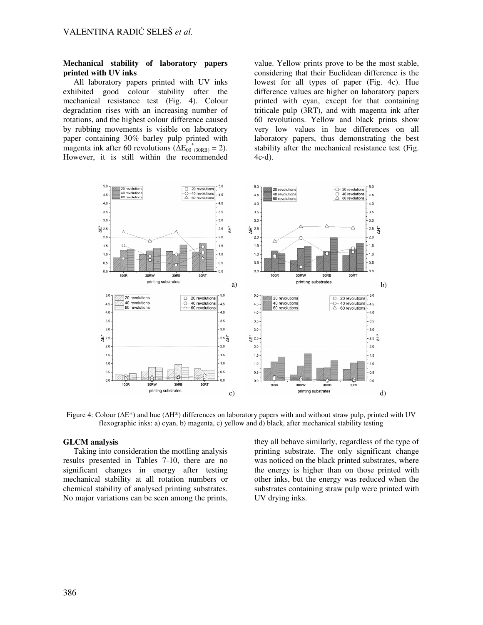## **Mechanical stability of laboratory papers printed with UV inks**

All laboratory papers printed with UV inks exhibited good colour stability after the mechanical resistance test (Fig. 4). Colour degradation rises with an increasing number of rotations, and the highest colour difference caused by rubbing movements is visible on laboratory paper containing 30% barley pulp printed with magenta ink after 60 revolutions ( $\Delta E_{00}^{\space*}$ <sup>\*</sup>(30RB) = 2). However, it is still within the recommended

value. Yellow prints prove to be the most stable, considering that their Euclidean difference is the lowest for all types of paper (Fig. 4c). Hue difference values are higher on laboratory papers printed with cyan, except for that containing triticale pulp (3RT), and with magenta ink after 60 revolutions. Yellow and black prints show very low values in hue differences on all laboratory papers, thus demonstrating the best stability after the mechanical resistance test (Fig. 4c-d).



Figure 4: Colour (∆E\*) and hue (∆H\*) differences on laboratory papers with and without straw pulp, printed with UV flexographic inks: a) cyan, b) magenta, c) yellow and d) black, after mechanical stability testing

# **GLCM analysis**

Taking into consideration the mottling analysis results presented in Tables 7-10, there are no significant changes in energy after testing mechanical stability at all rotation numbers or chemical stability of analysed printing substrates. No major variations can be seen among the prints,

they all behave similarly, regardless of the type of printing substrate. The only significant change was noticed on the black printed substrates, where the energy is higher than on those printed with other inks, but the energy was reduced when the substrates containing straw pulp were printed with UV drying inks.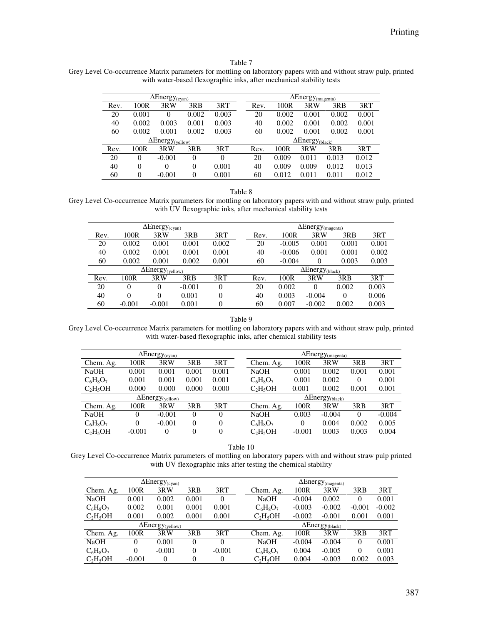## Table 7

Grey Level Co-occurrence Matrix parameters for mottling on laboratory papers with and without straw pulp, printed with water-based flexographic inks, after mechanical stability tests

|      |                  | $\Delta$ Energy <sub>(cyan)</sub>   |          |          | $\Delta$ Energy <sub>(magenta)</sub> |                                    |       |       |       |       |  |
|------|------------------|-------------------------------------|----------|----------|--------------------------------------|------------------------------------|-------|-------|-------|-------|--|
| Rev. | 100R             | 3RW                                 | 3RB      | 3RT      |                                      | Rev.                               | 100R  | 3RW   | 3RB   | 3RT   |  |
| 20   | 0.001            | 0                                   | 0.002    | 0.003    |                                      | 20                                 | 0.002 | 0.001 | 0.002 | 0.001 |  |
| 40   | 0.002            | 0.003                               | 0.001    | 0.003    |                                      | 40                                 | 0.002 | 0.001 | 0.002 | 0.001 |  |
| 60   | 0.002            | 0.001                               | 0.002    | 0.003    |                                      | 60                                 | 0.002 | 0.001 | 0.002 | 0.001 |  |
|      |                  | $\Delta$ Energy <sub>(yellow)</sub> |          |          |                                      | $\Delta$ Energy <sub>(black)</sub> |       |       |       |       |  |
| Rev. | 100R             | 3RW                                 | 3RB      | 3RT      |                                      | Rev.                               | 100R  | 3RW   | 3RB   | 3RT   |  |
| 20   | $\Omega$         | $-0.001$                            | 0        | $\Omega$ |                                      | 20                                 | 0.009 | 0.011 | 0.013 | 0.012 |  |
| 40   | $\theta$         | $\Omega$                            | $\theta$ | 0.001    |                                      | 40                                 | 0.009 | 0.009 | 0.012 | 0.013 |  |
| 60   | $\boldsymbol{0}$ | $-0.001$                            | 0        | 0.001    |                                      | 60                                 | 0.012 | 0.011 | 0.011 | 0.012 |  |

Table 8

Grey Level Co-occurrence Matrix parameters for mottling on laboratory papers with and without straw pulp, printed with UV flexographic inks, after mechanical stability tests

|      |          | $\Delta$ Energy <sub>(cyan)</sub>   |          |                  |      |                                    | $\Delta$ Energy <sub>(magenta)</sub> |       |       |
|------|----------|-------------------------------------|----------|------------------|------|------------------------------------|--------------------------------------|-------|-------|
| Rev. | 100R     | 3RW                                 | 3RB      | 3RT              | Rev. | 100R                               | 3RW                                  | 3RB   | 3RT   |
| 20   | 0.002    | 0.001                               | 0.001    | 0.002            | 20   | $-0.005$                           | 0.001                                | 0.001 | 0.001 |
| 40   | 0.002    | 0.001                               | 0.001    | 0.001            | 40   | $-0.006$                           | 0.001                                | 0.001 | 0.002 |
| 60   | 0.002    | 0.001                               | 0.002    | 0.001            | 60   | $-0.004$                           | 0                                    | 0.003 | 0.003 |
|      |          | $\Delta$ Energy <sub>(yellow)</sub> |          |                  |      | $\Delta$ Energy <sub>(black)</sub> |                                      |       |       |
| Rev. | 100R     | 3RW                                 | 3RB      | 3RT              | Rev. | 100R                               | 3RW                                  | 3RB   | 3RT   |
| 20   | $\Omega$ | 0                                   | $-0.001$ | $\theta$         | 20   | 0.002                              | $\Omega$                             | 0.002 | 0.003 |
| 40   | $\Omega$ | 0                                   | 0.001    | 0                | 40   | 0.003                              | $-0.004$                             | 0     | 0.006 |
| 60   | $-0.001$ | $-0.001$                            | 0.001    | $\boldsymbol{0}$ | 60   | 0.007                              | $-0.002$                             | 0.002 | 0.003 |

Table 9

Grey Level Co-occurrence Matrix parameters for mottling on laboratory papers with and without straw pulp, printed with water-based flexographic inks, after chemical stability tests

| $\Delta$ Energy <sub>(cyan)</sub> |          |                                     |          | $\Delta$ Energy <sub>(magenta)</sub> |             |          |                                    |          |          |
|-----------------------------------|----------|-------------------------------------|----------|--------------------------------------|-------------|----------|------------------------------------|----------|----------|
| Chem. Ag.                         | 100R     | 3RW                                 | 3RB      | 3RT                                  | Chem. Ag.   | 100R     | 3RW                                | 3RB      | 3RT      |
| <b>NaOH</b>                       | 0.001    | 0.001                               | 0.001    | 0.001                                | <b>NaOH</b> | 0.001    | 0.002                              | 0.001    | 0.001    |
| $C_6H_8O_7$                       | 0.001    | 0.001                               | 0.001    | 0.001                                | $C_6H_8O_7$ | 0.001    | 0.002                              | $\Omega$ | 0.001    |
| $C_2H_5OH$                        | 0.000    | 0.000                               | 0.000    | 0.000                                | $C_2H_5OH$  | 0.001    | 0.002                              | 0.001    | 0.001    |
|                                   |          | $\Delta$ Energy <sub>(yellow)</sub> |          |                                      |             |          | $\Delta$ Energy <sub>(black)</sub> |          |          |
| Chem. Ag.                         | 100R     | 3RW                                 | 3RB      | 3RT                                  | Chem. Ag.   | 100R     | 3RW                                | 3RB      | 3RT      |
| <b>NaOH</b>                       | 0        | $-0.001$                            | $\Omega$ | 0                                    | <b>NaOH</b> | 0.003    | $-0.004$                           | $\Omega$ | $-0.004$ |
| $C_6H_8O_7$                       | $\theta$ | $-0.001$                            | $\Omega$ | 0                                    | $C_6H_8O_7$ | $\Omega$ | 0.004                              | 0.002    | 0.005    |
| $C_2H_5OH$                        | $-0.001$ | $\boldsymbol{0}$                    | $\Omega$ | $\theta$                             | $C_2H_5OH$  | $-0.001$ | 0.003                              | 0.003    | 0.004    |

Table 10

Grey Level Co-occurrence Matrix parameters of mottling on laboratory papers with and without straw pulp printed with UV flexographic inks after testing the chemical stability

| $\Delta$ Energy <sub>(cyan)</sub>   |                |          |                |          |  | $\Delta$ Energy <sub>(magenta)</sub> |          |          |          |          |
|-------------------------------------|----------------|----------|----------------|----------|--|--------------------------------------|----------|----------|----------|----------|
| Chem. Ag.                           | 100R           | 3RW      | 3RB            | 3RT      |  | Chem. Ag.                            | 100R     | 3RW      | 3RB      | 3RT      |
| <b>NaOH</b>                         | 0.001          | 0.002    | 0.001          | $\Omega$ |  | <b>NaOH</b>                          | $-0.004$ | 0.002    | $\Omega$ | 0.001    |
| $C_6H_8O_7$                         | 0.002          | 0.001    | 0.001          | 0.001    |  | $C_6H_8O_7$                          | $-0.003$ | $-0.002$ | $-0.001$ | $-0.002$ |
| $C_2H_5OH$                          | 0.001          | 0.002    | 0.001          | 0.001    |  | $C_2H_5OH$                           | $-0.002$ | $-0.001$ | 0.001    | 0.001    |
| $\Delta$ Energy <sub>(yellow)</sub> |                |          |                |          |  | $\Delta$ Energy <sub>(black)</sub>   |          |          |          |          |
| Chem. Ag.                           | 100R           | 3RW      | 3RB            | 3RT      |  | Chem. Ag.                            | 100R     | 3RW      | 3RB      | 3RT      |
| <b>NaOH</b>                         | $\overline{0}$ | 0.001    | $\overline{0}$ | $\Omega$ |  | <b>NaOH</b>                          | $-0.004$ | $-0.004$ | $\Omega$ | 0.001    |
| $C_6H_8O_7$                         | $\Omega$       | $-0.001$ | $\theta$       | $-0.001$ |  | $C_6H_8O_7$                          | 0.004    | $-0.005$ | $\Omega$ | 0.001    |
| $C_2H_5OH$                          | $-0.001$       | $\Omega$ | 0              | 0        |  | $C_2H_5OH$                           | 0.004    | $-0.003$ | 0.002    | 0.003    |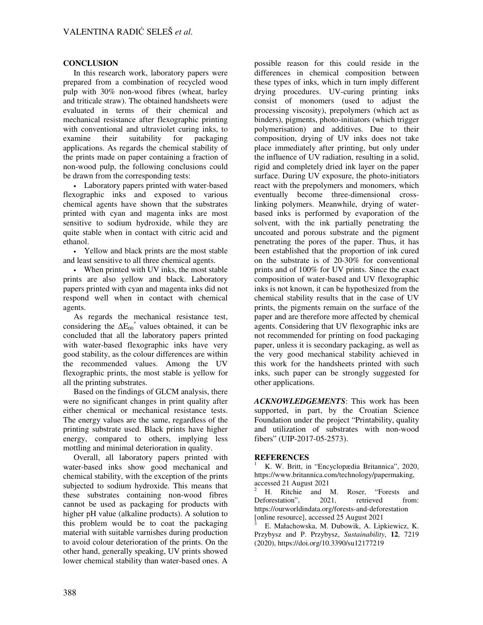# **CONCLUSION**

In this research work, laboratory papers were prepared from a combination of recycled wood pulp with 30% non-wood fibres (wheat, barley and triticale straw). The obtained handsheets were evaluated in terms of their chemical and mechanical resistance after flexographic printing with conventional and ultraviolet curing inks, to examine their suitability for packaging applications. As regards the chemical stability of the prints made on paper containing a fraction of non-wood pulp, the following conclusions could be drawn from the corresponding tests:

• Laboratory papers printed with water-based flexographic inks and exposed to various chemical agents have shown that the substrates printed with cyan and magenta inks are most sensitive to sodium hydroxide, while they are quite stable when in contact with citric acid and ethanol.

• Yellow and black prints are the most stable and least sensitive to all three chemical agents.

• When printed with UV inks, the most stable prints are also yellow and black. Laboratory papers printed with cyan and magenta inks did not respond well when in contact with chemical agents.

As regards the mechanical resistance test, considering the  $\Delta E_{00}^*$  values obtained, it can be concluded that all the laboratory papers printed with water-based flexographic inks have very good stability, as the colour differences are within the recommended values. Among the UV flexographic prints, the most stable is yellow for all the printing substrates.

Based on the findings of GLCM analysis, there were no significant changes in print quality after either chemical or mechanical resistance tests. The energy values are the same, regardless of the printing substrate used. Black prints have higher energy, compared to others, implying less mottling and minimal deterioration in quality.

Overall, all laboratory papers printed with water-based inks show good mechanical and chemical stability, with the exception of the prints subjected to sodium hydroxide. This means that these substrates containing non-wood fibres cannot be used as packaging for products with higher pH value (alkaline products). A solution to this problem would be to coat the packaging material with suitable varnishes during production to avoid colour deterioration of the prints. On the other hand, generally speaking, UV prints showed lower chemical stability than water-based ones. A

possible reason for this could reside in the differences in chemical composition between these types of inks, which in turn imply different drying procedures. UV-curing printing inks consist of monomers (used to adjust the processing viscosity), prepolymers (which act as binders), pigments, photo-initiators (which trigger polymerisation) and additives. Due to their composition, drying of UV inks does not take place immediately after printing, but only under the influence of UV radiation, resulting in a solid, rigid and completely dried ink layer on the paper surface. During UV exposure, the photo-initiators react with the prepolymers and monomers, which eventually become three-dimensional crosslinking polymers. Meanwhile, drying of waterbased inks is performed by evaporation of the solvent, with the ink partially penetrating the uncoated and porous substrate and the pigment penetrating the pores of the paper. Thus, it has been established that the proportion of ink cured on the substrate is of 20-30% for conventional prints and of 100% for UV prints. Since the exact composition of water-based and UV flexographic inks is not known, it can be hypothesized from the chemical stability results that in the case of UV prints, the pigments remain on the surface of the paper and are therefore more affected by chemical agents. Considering that UV flexographic inks are not recommended for printing on food packaging paper, unless it is secondary packaging, as well as the very good mechanical stability achieved in this work for the handsheets printed with such inks, such paper can be strongly suggested for other applications.

*ACKNOWLEDGEMENTS*: This work has been supported, in part, by the Croatian Science Foundation under the project "Printability, quality and utilization of substrates with non-wood fibers" (UIP-2017-05-2573).

# **REFERENCES**

<sup>1</sup> K. W. Britt, in "Encyclopædia Britannica", 2020, https://www.britannica.com/technology/papermaking, accessed 21 August 2021

<sup>2</sup> H. Ritchie and M. Roser, "Forests and Deforestation", 2021, retrieved from: https://ourworldindata.org/forests-and-deforestation [online resource], accessed 25 August 2021

3 E. Małachowska, M. Dubowik, A. Lipkiewicz, K. Przybysz and P. Przybysz, *Sustainability*, **12**, 7219 (2020), https://doi.org/10.3390/su12177219